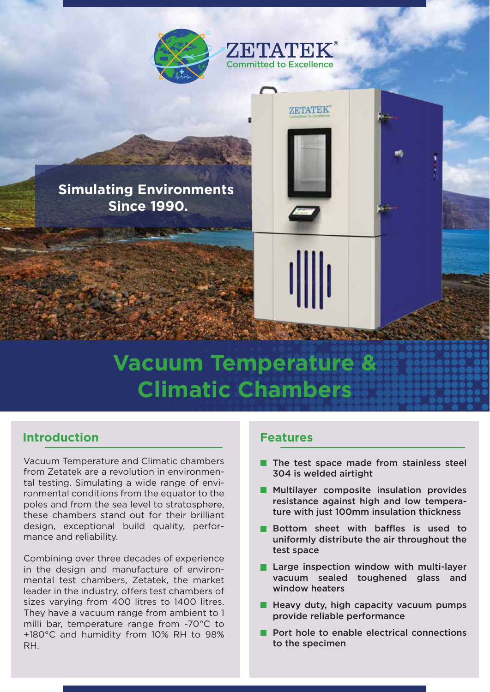

# **Vacuum Temperature & Climatic Chambers**

### **Introduction**

Vacuum Temperature and Climatic chambers from Zetatek are a revolution in environmental testing. Simulating a wide range of environmental conditions from the equator to the poles and from the sea level to stratosphere, these chambers stand out for their brilliant design, exceptional build quality, performance and reliability.

Combining over three decades of experience in the design and manufacture of environmental test chambers, Zetatek, the market leader in the industry, offers test chambers of sizes varying from 400 litres to 1400 litres. They have a vacuum range from ambient to 1 milli bar, temperature range from -70°C to +180°C and humidity from 10% RH to 98% RH.

#### **Features**

- The test space made from stainless steel 304 is welded airtight
- **Multilayer composite insulation provides** resistance against high and low temperature with just 100mm insulation thickness
- **Bottom sheet with baffles is used to** uniformly distribute the air throughout the test space
- **Large inspection window with multi-layer** vacuum sealed toughened glass and window heaters
- $\blacksquare$  Heavy duty, high capacity vacuum pumps provide reliable performance
- **Port hole to enable electrical connections** to the specimen